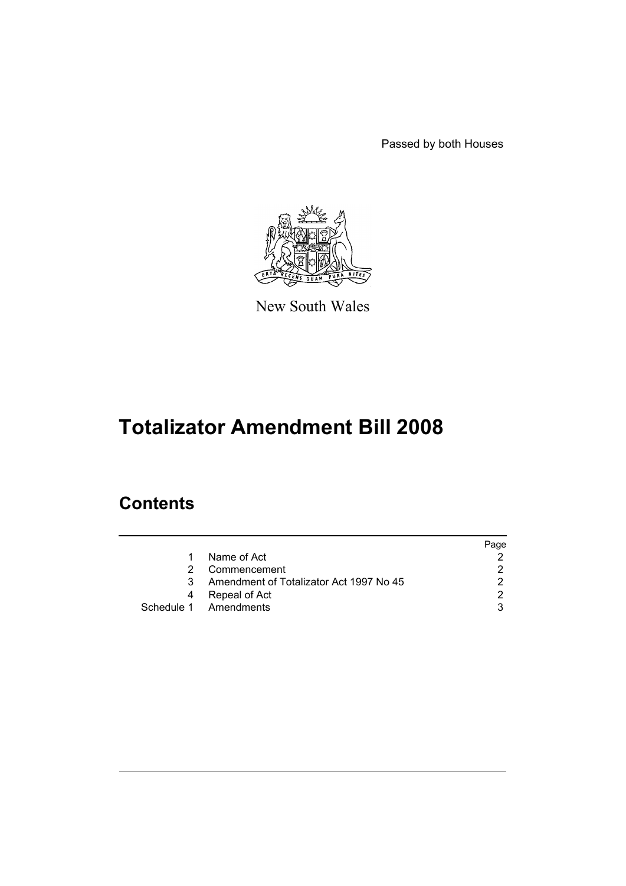Passed by both Houses



New South Wales

# **Totalizator Amendment Bill 2008**

## **Contents**

|    |                                         | Page |
|----|-----------------------------------------|------|
| 1  | Name of Act                             |      |
| 2. | Commencement                            |      |
| 3  | Amendment of Totalizator Act 1997 No 45 |      |
| 4  | Repeal of Act                           |      |
|    | Schedule 1 Amendments                   |      |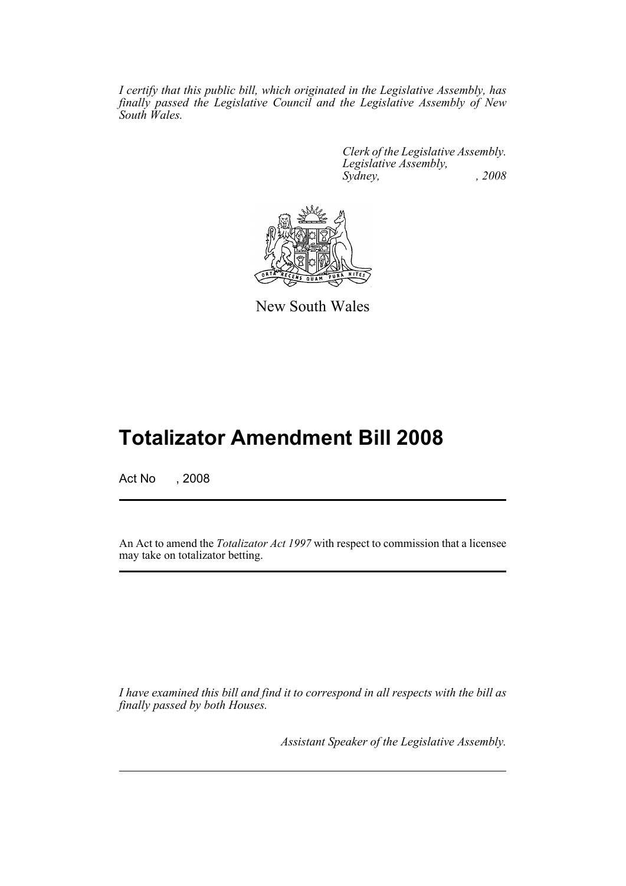*I certify that this public bill, which originated in the Legislative Assembly, has finally passed the Legislative Council and the Legislative Assembly of New South Wales.*

> *Clerk of the Legislative Assembly. Legislative Assembly, Sydney, , 2008*



New South Wales

## **Totalizator Amendment Bill 2008**

Act No , 2008

An Act to amend the *Totalizator Act 1997* with respect to commission that a licensee may take on totalizator betting.

*I have examined this bill and find it to correspond in all respects with the bill as finally passed by both Houses.*

*Assistant Speaker of the Legislative Assembly.*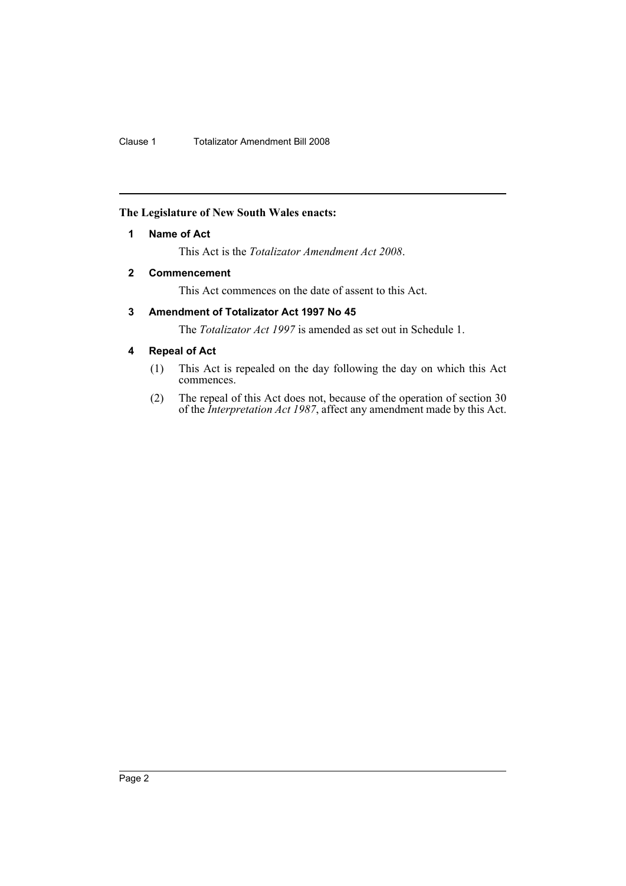#### <span id="page-2-0"></span>**The Legislature of New South Wales enacts:**

#### **1 Name of Act**

This Act is the *Totalizator Amendment Act 2008*.

#### <span id="page-2-1"></span>**2 Commencement**

This Act commences on the date of assent to this Act.

### <span id="page-2-2"></span>**3 Amendment of Totalizator Act 1997 No 45**

The *Totalizator Act 1997* is amended as set out in Schedule 1.

#### <span id="page-2-3"></span>**4 Repeal of Act**

- (1) This Act is repealed on the day following the day on which this Act commences.
- (2) The repeal of this Act does not, because of the operation of section 30 of the *Interpretation Act 1987*, affect any amendment made by this Act.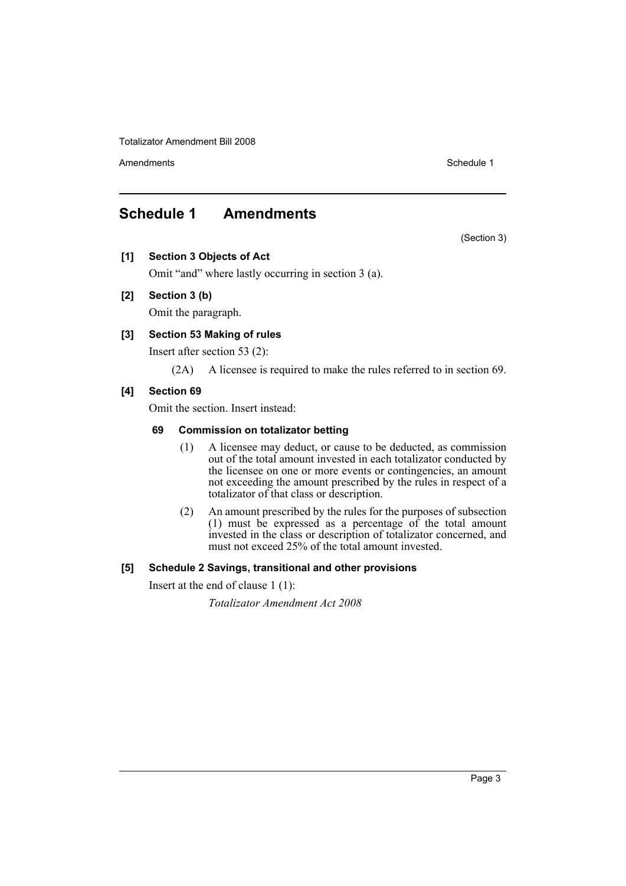Totalizator Amendment Bill 2008

Amendments **Schedule 1** and the set of the set of the set of the set of the set of the set of the set of the set of the set of the set of the set of the set of the set of the set of the set of the set of the set of the set

## <span id="page-3-0"></span>**Schedule 1 Amendments**

(Section 3)

**[1] Section 3 Objects of Act**

Omit "and" where lastly occurring in section 3 (a).

#### **[2] Section 3 (b)**

Omit the paragraph.

#### **[3] Section 53 Making of rules**

Insert after section 53 (2):

(2A) A licensee is required to make the rules referred to in section 69.

#### **[4] Section 69**

Omit the section. Insert instead:

#### **69 Commission on totalizator betting**

- (1) A licensee may deduct, or cause to be deducted, as commission out of the total amount invested in each totalizator conducted by the licensee on one or more events or contingencies, an amount not exceeding the amount prescribed by the rules in respect of a totalizator of that class or description.
- (2) An amount prescribed by the rules for the purposes of subsection (1) must be expressed as a percentage of the total amount invested in the class or description of totalizator concerned, and must not exceed 25% of the total amount invested.

#### **[5] Schedule 2 Savings, transitional and other provisions**

Insert at the end of clause 1 (1):

*Totalizator Amendment Act 2008*